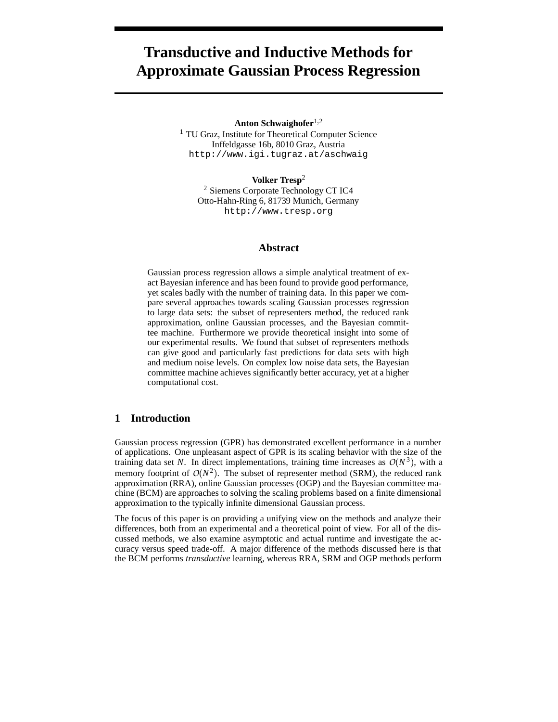# **Transductive and Inductive Methods for Approximate Gaussian Process Regression**

Anton Schwaighofer<sup>1,2</sup>

<sup>1</sup> TU Graz, Institute for Theoretical Computer Science Inffeldgasse 16b, 8010 Graz, Austria http://www.igi.tugraz.at/aschwaig

**Volker Tresp**<sup>2</sup>

<sup>2</sup> Siemens Corporate Technology CT IC4 Otto-Hahn-Ring 6, 81739 Munich, Germany http://www.tresp.org

## **Abstract**

Gaussian process regression allows a simple analytical treatment of exact Bayesian inference and has been found to provide good performance, yet scales badly with the number of training data. In this paper we compare several approaches towards scaling Gaussian processes regression to large data sets: the subset of representers method, the reduced rank approximation, online Gaussian processes, and the Bayesian committee machine. Furthermore we provide theoretical insight into some of our experimental results. We found that subset of representers methods can give good and particularly fast predictions for data sets with high and medium noise levels. On complex low noise data sets, the Bayesian committee machine achieves significantly better accuracy, yet at a higher computational cost.

# **1 Introduction**

Gaussian process regression (GPR) has demonstrated excellent performance in a number of applications. One unpleasant aspect of GPR is its scaling behavior with the size of the training data set N. In direct implementations, training time increases as  $O(N^3)$ , with a memory footprint of  $O(N^2)$ . The subset of representer method (SRM), the reduced rank approximation (RRA), online Gaussian processes (OGP) and the Bayesian committee machine (BCM) are approaches to solving the scaling problems based on a finite dimensional approximation to the typically infinite dimensional Gaussian process.

The focus of this paper is on providing a unifying view on the methods and analyze their differences, both from an experimental and a theoretical point of view. For all of the discussed methods, we also examine asymptotic and actual runtime and investigate the accuracy versus speed trade-off. A major difference of the methods discussed here is that the BCM performs *transductive* learning, whereas RRA, SRM and OGP methods perform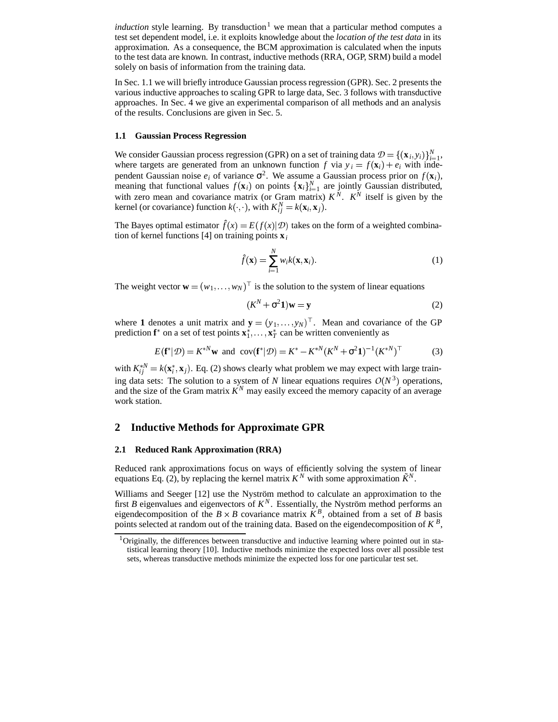*induction* style learning. By transduction<sup>1</sup> we mean that a particular method computes a test set dependent model, i.e. it exploits knowledge about the *location of the test data* in its approximation. As a consequence, the BCM approximation is calculated when the inputs to the test data are known. In contrast, inductive methods (RRA, OGP, SRM) build a model solely on basis of information from the training data.

In Sec. 1.1 we will briefly introduce Gaussian process regression (GPR). Sec. 2 presents the various inductive approaches to scaling GPR to large data, Sec. 3 follows with transductive approaches. In Sec. 4 we give an experimental comparison of all methods and an analysis of the results. Conclusions are given in Sec. 5.

#### **1.1 Gaussian Process Regression**

We consider Gaussian process regression (GPR) on a set of training data  $\mathcal{D} = \{(\mathbf{x}_i, y_i)\}_{i=1}^N$ , where targets are generated from an unknown function *f* via  $y_i = f(\mathbf{x}_i) + e_i$  with independent Gaussian noise  $e_i$  of variance  $\sigma^2$ . We assume a Gaussian process prior on  $f(\mathbf{x}_i)$ , meaning that functional values  $f(\mathbf{x}_i)$  on points  $\{\mathbf{x}_i\}_{i=1}^N$  are jointly Gaussian distributed, with zero mean and covariance matrix (or Gram matrix)  $K^N$ .  $K^N$  itself is given by the kernel (or covariance) function  $k(\cdot, \cdot)$ ,  $\cdot$ , with  $K_{ij}^N = k(\mathbf{x}_i, \mathbf{x}_j)$ .

The Bayes optimal estimator  $\hat{f}(x) = E(f(x)|\mathcal{D})$  takes on the form of a weighted combination of kernel functions [4] on training points  $\mathbf{x}_i$ 

$$
\hat{f}(\mathbf{x}) = \sum_{i=1}^{N} w_i k(\mathbf{x}, \mathbf{x}_i).
$$
 (1)

The weight vector  $\mathbf{w} = (w_1, \dots, w_N)^\top$  is the solution to the system of linear equations

$$
(K^N + \sigma^2 \mathbf{1})\mathbf{w} = \mathbf{y} \tag{2}
$$

where 1 denotes a unit matrix and  $y = (y_1, \ldots, y_N)^\top$ . Mean and covariance of the GP prediction  $f^*$  on a set of test points  $x_1^*, \ldots, x_T^*$  can be written conveniently as

$$
E(\mathbf{f}^*|\mathcal{D}) = K^{*N}\mathbf{w} \text{ and } \text{cov}(\mathbf{f}^*|\mathcal{D}) = K^* - K^{*N}(K^N + \sigma^2 \mathbf{1})^{-1}(K^{*N})^\top
$$
(3)

with  $K_{ij}^{*N} = k(\mathbf{x}_i^*, \mathbf{x}_j)$ . Eq. (2) shows clearly what problem we may expect with large training data sets: The solution to a system of *N* linear equations requires  $O(N^3)$  operations, and the size of the Gram matrix  $K^N$  may easily exceed the memory capacity of an average work station.

## **2 Inductive Methods for Approximate GPR**

## **2.1 Reduced Rank Approximation (RRA)**

Reduced rank approximations focus on ways of efficiently solving the system of linear equations Eq. (2), by replacing the kernel matrix  $K^N$  with some approximation  $\tilde{K}^N$ .

Williams and Seeger [12] use the Nyström method to calculate an approximation to the first *B* eigenvalues and eigenvectors of  $K<sup>N</sup>$ . Essentially, the Nyström method performs an eigendecomposition of the  $B \times B$  covariance matrix  $K^B$ , obtained from a set of *B* basis points selected at random out of the training data. Based on the eigendecomposition of  $K^B$ ,

<sup>&</sup>lt;sup>1</sup>Originally, the differences between transductive and inductive learning where pointed out in statistical learning theory [10]. Inductive methods minimize the expected loss over all possible test sets, whereas transductive methods minimize the expected loss for one particular test set.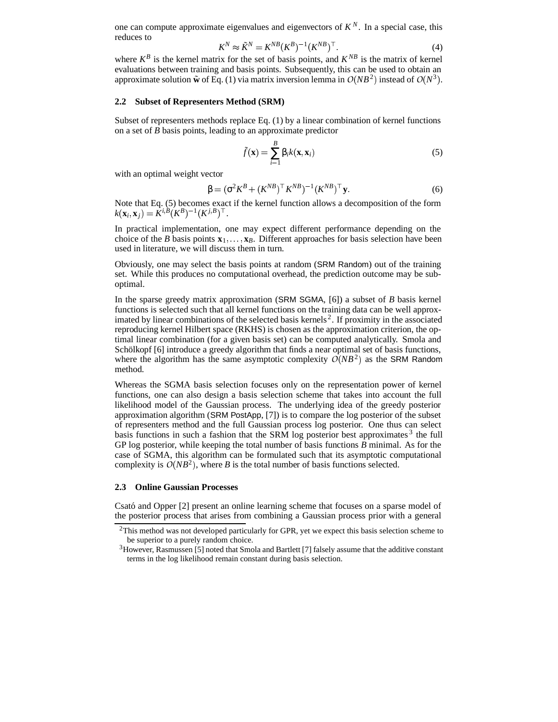one can compute approximate eigenvalues and eigenvectors of  $K^N$ . In a special case, this reduces to

$$
K^N \approx \tilde{K}^N = K^{NB} (K^B)^{-1} (K^{NB})^\top.
$$
 (4)

where  $K^B$  is the kernel matrix for the set of basis points, and  $K^{NB}$  is the matrix of kernel evaluations between training and basis points. Subsequently, this can be used to obtain an approximate solution  $\tilde{\mathbf{w}}$  of Eq. (1) via matrix inversion lemma in  $O(NB^2)$  instead of  $O(N^3)$ .

#### **2.2 Subset of Representers Method (SRM)**

Subset of representers methods replace Eq. (1) by a linear combination of kernel functions on a set of *B* basis points, leading to an approximate predictor

$$
\tilde{f}(\mathbf{x}) = \sum_{i=1}^{B} \beta_i k(\mathbf{x}, \mathbf{x}_i)
$$
\n(5)

with an optimal weight vector

$$
\beta = (\sigma^2 K^B + (K^{NB})^\top K^{NB})^{-1} (K^{NB})^\top \mathbf{y}.
$$
 (6)

Note that Eq. (5) becomes exact if the kernel function allows a decomposition of the form  $k(\mathbf{x}_i, \mathbf{x}_j) = \hat{K}^{i, B}(K^B)^{-1}(K^{j, B})^{\top}.$ 

In practical implementation, one may expect different performance depending on the choice of the *B* basis points  $\mathbf{x}_1, \ldots, \mathbf{x}_B$ . Different approaches for basis selection have been used in literature, we will discuss them in turn.

Obviously, one may select the basis points at random (SRM Random) out of the training set. While this produces no computational overhead, the prediction outcome may be suboptimal.

In the sparse greedy matrix approximation (SRM SGMA, [6]) a subset of *B* basis kernel functions is selected such that all kernel functions on the training data can be well approximated by linear combinations of the selected basis kernels<sup>2</sup>. If proximity in the associated reproducing kernel Hilbert space (RKHS) is chosen as the approximation criterion, the optimal linear combination (for a given basis set) can be computed analytically. Smola and Schölkopf [6] introduce a greedy algorithm that finds a near optimal set of basis functions, where the algorithm has the same asymptotic complexity  $O(NB^2)$  as the SRM Random method.

Whereas the SGMA basis selection focuses only on the representation power of kernel functions, one can also design a basis selection scheme that takes into account the full likelihood model of the Gaussian process. The underlying idea of the greedy posterior approximation algorithm (SRM PostApp, [7]) is to compare the log posterior of the subset of representers method and the full Gaussian process log posterior. One thus can select basis functions in such a fashion that the SRM log posterior best approximates  $3$  the full GP log posterior, while keeping the total number of basis functions *B* minimal. As for the case of SGMA, this algorithm can be formulated such that its asymptotic computational complexity is  $O(NB^2)$ , where *B* is the total number of basis functions selected.

#### **2.3 Online Gaussian Processes**

Csató and Opper [2] present an online learning scheme that focuses on a sparse model of the posterior process that arises from combining a Gaussian process prior with a general

 $2$ This method was not developed particularly for GPR, yet we expect this basis selection scheme to be superior to a purely random choice.

<sup>&</sup>lt;sup>3</sup>However, Rasmussen [5] noted that Smola and Bartlett [7] falsely assume that the additive constant terms in the log likelihood remain constant during basis selection.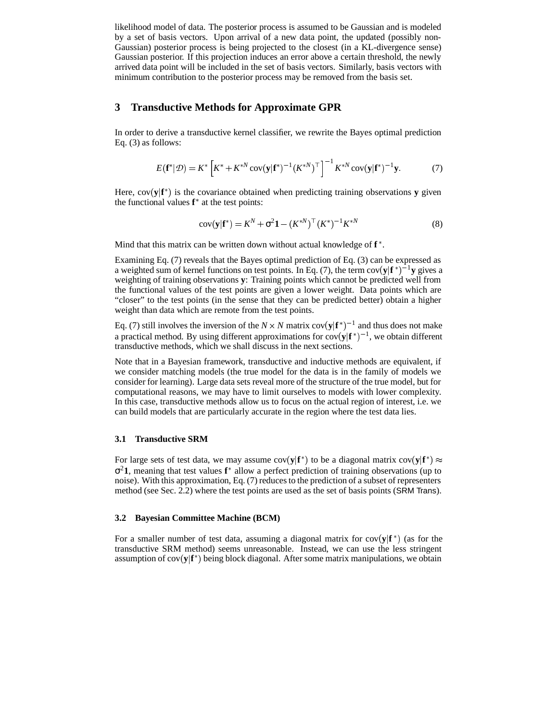likelihood model of data. The posterior process is assumed to be Gaussian and is modeled by a set of basis vectors. Upon arrival of a new data point, the updated (possibly non-Gaussian) posterior process is being projected to the closest (in a KL-divergence sense) Gaussian posterior. If this projection induces an error above a certain threshold, the newly arrived data point will be included in the set of basis vectors. Similarly, basis vectors with minimum contribution to the posterior process may be removed from the basis set.

## **3 Transductive Methods for Approximate GPR**

In order to derive a transductive kernel classifier, we rewrite the Bayes optimal prediction Eq. (3) as follows:

$$
E(\mathbf{f}^*|\mathcal{D}) = K^* \left[ K^* + K^{*N} \text{cov}(\mathbf{y}|\mathbf{f}^*)^{-1} (K^{*N})^\top \right]^{-1} K^{*N} \text{cov}(\mathbf{y}|\mathbf{f}^*)^{-1} \mathbf{y}.
$$
 (7)

Here,  $cov(\mathbf{y}|\mathbf{f}^*)$  is the covariance obtained when predicting training observations **y** given the functional values  $f^*$  at the test points:

$$
cov(\mathbf{y}|\mathbf{f}^*) = K^N + \sigma^2 \mathbf{1} - (K^{*N})^\top (K^*)^{-1} K^{*N}
$$
 (8)

Mind that this matrix can be written down without actual knowledge of **f** .

Examining Eq. (7) reveals that the Bayes optimal prediction of Eq. (3) can be expressed as a weighted sum of kernel functions on test points. In Eq. (7), the term  $cov(y|f^*)^{-1}y$  gives a weighting of training observations **y**: Training points which cannot be predicted well from the functional values of the test points are given a lower weight. Data points which are "closer" to the test points (in the sense that they can be predicted better) obtain a higher weight than data which are remote from the test points.

Eq. (7) still involves the inversion of the  $N \times N$  matrix  $cov(y|f^*)^{-1}$  and thus does not make a practical method. By using different approximations for  $cov(y|f^*)^{-1}$ , we obtain different transductive methods, which we shall discuss in the next sections.

Note that in a Bayesian framework, transductive and inductive methods are equivalent, if we consider matching models (the true model for the data is in the family of models we consider for learning). Large data sets reveal more of the structure of the true model, but for computational reasons, we may have to limit ourselves to models with lower complexity. In this case, transductive methods allow us to focus on the actual region of interest, i.e. we can build models that are particularly accurate in the region where the test data lies.

## **3.1 Transductive SRM**

For large sets of test data, we may assume  $cov(y|f^*)$  to be a diagonal matrix  $cov(y|f^*) \approx$ σ <sup>2</sup>**1**, meaning that test values **f** allow a perfect prediction of training observations (up to noise). With this approximation, Eq. (7) reduces to the prediction of a subset of representers method (see Sec. 2.2) where the test points are used as the set of basis points (SRM Trans).

## **3.2 Bayesian Committee Machine (BCM)**

For a smaller number of test data, assuming a diagonal matrix for  $cov(y|f^*)$  (as for the transductive SRM method) seems unreasonable. Instead, we can use the less stringent assumption of  $cov(y|f^*)$  being block diagonal. After some matrix manipulations, we obtain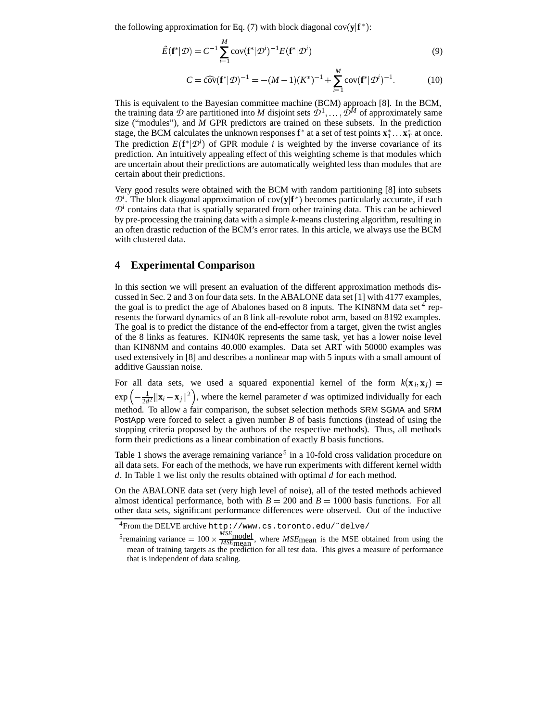the following approximation for Eq.  $(7)$  with block diagonal cov $(y|f^*)$ :

$$
\hat{E}(\mathbf{f}^*|\mathcal{D}) = C^{-1} \sum_{i=1}^M \text{cov}(\mathbf{f}^*|\mathcal{D}^i)^{-1} E(\mathbf{f}^*|\mathcal{D}^i)
$$
\n(9)

$$
C = \widehat{\text{cov}}(\mathbf{f}^*|\mathcal{D})^{-1} = -(M-1)(K^*)^{-1} + \sum_{i=1}^M \text{cov}(\mathbf{f}^*|\mathcal{D}^i)^{-1}.
$$
 (10)

This is equivalent to the Bayesian committee machine (BCM) approach [8]. In the BCM, the training data  $\mathcal D$  are partitioned into M disjoint sets  $\mathcal D^1, \ldots, \tilde{\mathcal D^M}$  of approximately same size ("modules"), and *M* GPR predictors are trained on these subsets. In the prediction stage, the BCM calculates the unknown responses  $f^*$  at a set of test points  $x_1^* \dots x_T^*$  at once. The prediction  $E(\mathbf{f}^* | \mathcal{D}^i)$  of GPR module *i* is weighted by the inverse covariance of its prediction. An intuitively appealing effect of this weighting scheme is that modules which are uncertain about their predictions are automatically weighted less than modules that are certain about their predictions.

Very good results were obtained with the BCM with random partitioning [8] into subsets  $\mathcal{D}^i$ . The block diagonal approximation of cov(y|f<sup>\*</sup>) becomes particularly accurate, if each  $\mathcal{D}^i$  contains data that is spatially separated from other training data. This can be achieved by pre-processing the training data with a simple *k*-means clustering algorithm, resulting in an often drastic reduction of the BCM's error rates. In this article, we always use the BCM with clustered data.

## **4 Experimental Comparison**

In this section we will present an evaluation of the different approximation methods discussed in Sec. 2 and 3 on four data sets. In the ABALONE data set [1] with 4177 examples, the goal is to predict the age of Abalones based on 8 inputs. The KIN8NM data set  $4$  represents the forward dynamics of an 8 link all-revolute robot arm, based on 8192 examples. The goal is to predict the distance of the end-effector from a target, given the twist angles of the 8 links as features. KIN40K represents the same task, yet has a lower noise level than KIN8NM and contains 40  000 examples. Data set ART with 50000 examples was used extensively in [8] and describes a nonlinear map with 5 inputs with a small amount of additive Gaussian noise.

For all data sets, we used a squared exponential kernel of the form  $k(\mathbf{x}_i, \mathbf{x}_j)$  $\exp\left(-\frac{1}{2d^2}||\mathbf{x}_i - \mathbf{x}_j||^2\right)$ , where the kernel parameter *d* was optimized individually for each method. To allow a fair comparison, the subset selection methods SRM SGMA and SRM PostApp were forced to select a given number *B* of basis functions (instead of using the stopping criteria proposed by the authors of the respective methods). Thus, all methods form their predictions as a linear combination of exactly *B* basis functions.

Table 1 shows the average remaining variance<sup>5</sup> in a 10-fold cross validation procedure on all data sets. For each of the methods, we have run experiments with different kernel width *d*. In Table 1 we list only the results obtained with optimal *d* for each method.

On the ABALONE data set (very high level of noise), all of the tested methods achieved almost identical performance, both with  $B = 200$  and  $B = 1000$  basis functions. For all other data sets, significant performance differences were observed. Out of the inductive

<sup>4</sup>From the DELVE archive http://www.cs.toronto.edu/˜delve/

<sup>&</sup>lt;sup>5</sup> remaining variance  $= 100 \times \frac{MSE_{\text{model}}}{MSE_{\text{mean}}}$ , where  $MSE_{\text{mean}}$  is the MSE obtained from using the mean of training targets as the prediction for all test data. This gives a measure of performance that is independent of data scaling.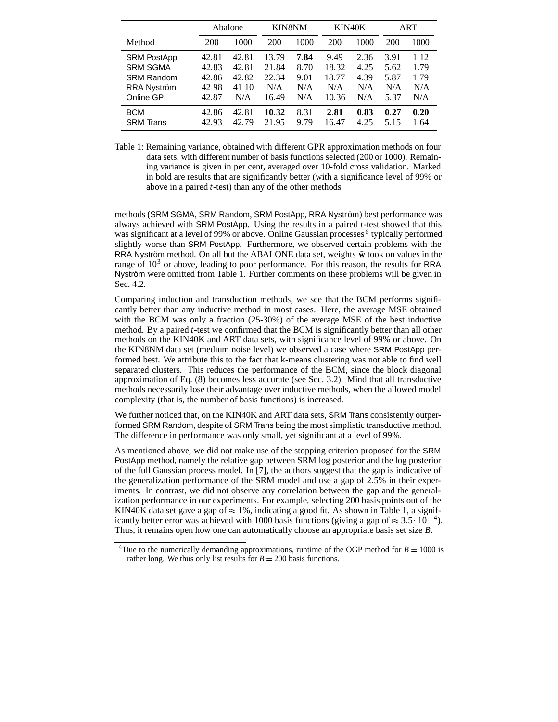|                    | Abalone |       | <b>KIN8NM</b> |      | KIN40K |      | ART  |      |
|--------------------|---------|-------|---------------|------|--------|------|------|------|
| Method             | 200     | 1000  | 200           | 1000 | 200    | 1000 | 200  | 1000 |
| <b>SRM PostApp</b> | 42.81   | 42.81 | 13.79         | 7.84 | 9.49   | 2.36 | 3.91 | 1.12 |
| <b>SRM SGMA</b>    | 42.83   | 42.81 | 21.84         | 8.70 | 18.32  | 4.25 | 5.62 | 1.79 |
| <b>SRM Random</b>  | 42.86   | 42.82 | 22.34         | 9.01 | 18.77  | 4.39 | 5.87 | 1.79 |
| RRA Nyström        | 42.98   | 41.10 | N/A           | N/A  | N/A    | N/A  | N/A  | N/A  |
| Online GP          | 42.87   | N/A   | 16.49         | N/A  | 10.36  | N/A  | 5.37 | N/A  |
| <b>BCM</b>         | 42.86   | 42.81 | 10.32         | 8.31 | 2.81   | 0.83 | 0.27 | 0.20 |
| <b>SRM Trans</b>   | 42.93   | 42.79 | 21.95         | 9.79 | 16.47  | 4.25 | 5.15 | 1.64 |

Table 1: Remaining variance, obtained with different GPR approximation methods on four data sets, with different number of basis functions selected (200 or 1000). Remaining variance is given in per cent, averaged over 10-fold cross validation. Marked in bold are results that are significantly better (with a significance level of 99% or above in a paired *t*-test) than any of the other methods

methods (SRM SGMA, SRM Random, SRM PostApp, RRA Nyström) best performance was always achieved with SRM PostApp. Using the results in a paired *t*-test showed that this was significant at a level of 99% or above. Online Gaussian processes<sup>6</sup> typically performed slightly worse than SRM PostApp. Furthermore, we observed certain problems with the RRA Nyström method. On all but the ABALONE data set, weights  $\tilde{w}$  took on values in the range of  $10<sup>3</sup>$  or above, leading to poor performance. For this reason, the results for RRA Nyström were omitted from Table 1. Further comments on these problems will be given in Sec. 4.2.

Comparing induction and transduction methods, we see that the BCM performs significantly better than any inductive method in most cases. Here, the average MSE obtained with the BCM was only a fraction (25-30%) of the average MSE of the best inductive method. By a paired *t*-test we confirmed that the BCM is significantly better than all other methods on the KIN40K and ART data sets, with significance level of 99% or above. On the KIN8NM data set (medium noise level) we observed a case where SRM PostApp performed best. We attribute this to the fact that k-means clustering was not able to find well separated clusters. This reduces the performance of the BCM, since the block diagonal approximation of Eq. (8) becomes less accurate (see Sec. 3.2). Mind that all transductive methods necessarily lose their advantage over inductive methods, when the allowed model complexity (that is, the number of basis functions) is increased.

We further noticed that, on the KIN40K and ART data sets, SRM Trans consistently outperformed SRM Random, despite of SRM Trans being the most simplistic transductive method. The difference in performance was only small, yet significant at a level of 99%.

As mentioned above, we did not make use of the stopping criterion proposed for the SRM PostApp method, namely the relative gap between SRM log posterior and the log posterior of the full Gaussian process model. In [7], the authors suggest that the gap is indicative of the generalization performance of the SRM model and use a gap of 2.5% in their experiments. In contrast, we did not observe any correlation between the gap and the generalization performance in our experiments. For example, selecting 200 basis points out of the KIN40K data set gave a gap of  $\approx 1\%$ , indicating a good fit. As shown in Table 1, a significantly better error was achieved with 1000 basis functions (giving a gap of  $\approx 3.5 \cdot 10^{-4}$ ). Thus, it remains open how one can automatically choose an appropriate basis set size *B*.

<sup>&</sup>lt;sup>6</sup>Due to the numerically demanding approximations, runtime of the OGP method for  $B = 1000$  is rather long. We thus only list results for  $B = 200$  basis functions.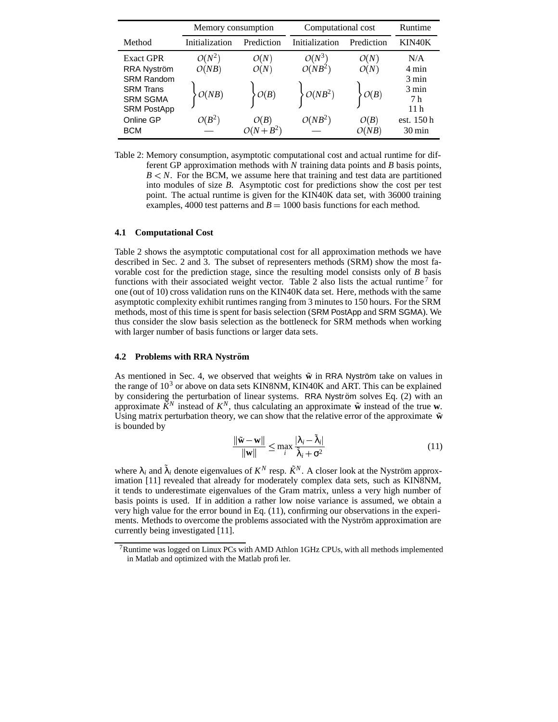|                    | Memory consumption |            | Computational cost | Runtime    |                     |
|--------------------|--------------------|------------|--------------------|------------|---------------------|
| Method             | Initialization     | Prediction | Initialization     | Prediction | KIN40K              |
| <b>Exact GPR</b>   | $O(N^2)$           | O(N)       | $O(N^3)$           | O(N)       | N/A                 |
| RRA Nyström        | O(NB)              | O(N)       | $O(NB^2)$          | O(N)       | 4 min               |
| <b>SRM Random</b>  |                    |            |                    |            | 3 min               |
| <b>SRM Trans</b>   | O(NB)              | O(B)       | $O(NB^2)$          | O(B)       | 3 min               |
| <b>SRM SGMA</b>    |                    |            |                    |            | 7 h                 |
| <b>SRM PostApp</b> |                    |            |                    |            | 11 h                |
| Online GP          | $O(B^2)$           | O(B)       | $O(NB^2)$          | O(B)       | est. 150 h          |
| <b>BCM</b>         |                    | $O(N+B^2)$ |                    | O(NB)      | $30 \,\mathrm{min}$ |

Table 2: Memory consumption, asymptotic computational cost and actual runtime for different GP approximation methods with *N* training data points and *B* basis points,  $B < N$ . For the BCM, we assume here that training and test data are partitioned into modules of size *B*. Asymptotic cost for predictions show the cost per test point. The actual runtime is given for the KIN40K data set, with 36000 training examples, 4000 test patterns and  $B = 1000$  basis functions for each method.

## **4.1 Computational Cost**

Table 2 shows the asymptotic computational cost for all approximation methods we have described in Sec. 2 and 3. The subset of representers methods (SRM) show the most favorable cost for the prediction stage, since the resulting model consists only of *B* basis functions with their associated weight vector. Table 2 also lists the actual runtime<sup>7</sup> for one (out of 10) cross validation runs on the KIN40K data set. Here, methods with the same asymptotic complexity exhibit runtimes ranging from 3 minutes to 150 hours. For the SRM methods, most of this time is spent for basis selection (SRM PostApp and SRM SGMA). We thus consider the slow basis selection as the bottleneck for SRM methods when working with larger number of basis functions or larger data sets.

## **4.2 Problems with RRA Nyström**

As mentioned in Sec. 4, we observed that weights  $\tilde{w}$  in RRA Nyström take on values in the range of  $10<sup>3</sup>$  or above on data sets KIN8NM, KIN40K and ART. This can be explained by considering the perturbation of linear systems. RRA Nyström solves Eq. (2) with an approximate  $\tilde{K}^N$  instead of  $K^N$ , thus calculating an approximate  $\tilde{w}$  instead of the true  $w$ . Using matrix perturbation theory, we can show that the relative error of the approximate  $\tilde{\mathbf{w}}$ is bounded by

$$
\frac{\|\tilde{\mathbf{w}} - \mathbf{w}\|}{\|\mathbf{w}\|} \le \max_{i} \frac{|\lambda_i - \tilde{\lambda}_i|}{\tilde{\lambda}_i + \sigma^2}
$$
(11)

where  $\lambda_i$  and  $\tilde{\lambda}_i$  denote eigenvalues of  $K^N$  resp.  $\tilde{K}^N$ . A closer look at the Nyström approximation [11] revealed that already for moderately complex data sets, such as KIN8NM, it tends to underestimate eigenvalues of the Gram matrix, unless a very high number of basis points is used. If in addition a rather low noise variance is assumed, we obtain a very high value for the error bound in Eq. (11), confirming our observations in the experiments. Methods to overcome the problems associated with the Nyström approximation are currently being investigated [11].

<sup>7</sup>Runtime was logged on Linux PCs with AMD Athlon 1GHz CPUs, with all methods implemented in Matlab and optimized with the Matlab profiler.